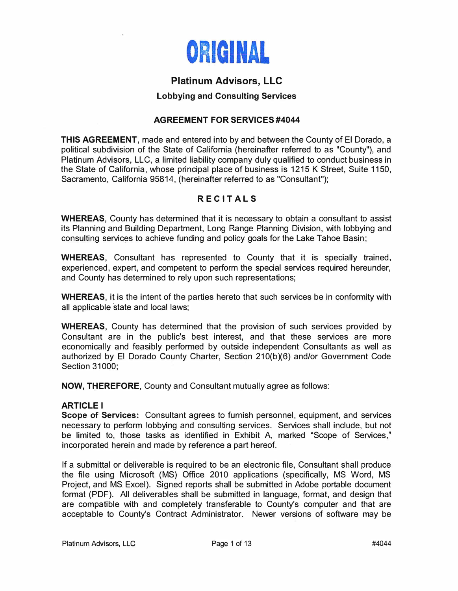

# **Platinum Advisors, LLC**

# **Lobbying and Consulting Services**

# **AGREEMENT FOR SERVICES #4044**

**THIS AGREEMENT,** made and entered into by and between the County of El Dorado, a political subdivision of the State of California (hereinafter referred to as "County"), and Platinum Advisors, LLC, a limited liability company duly qualified to conduct business in the State of California, whose principal place of business is 1215 K Street, Suite 1150, Sacramento, California 95814, (hereinafter referred to as "Consultant");

# **R EC I TALS**

**WHEREAS,** County has determined that it is necessary to obtain a consultant to assist its Planning and Building Department, Long Range Planning Division, with lobbying and consulting services to achieve funding and policy goals for the Lake Tahoe Basin;

**WHEREAS,** Consultant has represented to County that it is specially trained, experienced, expert, and competent to perform the special services required hereunder, and County has determined to rely upon such representations;

**WHEREAS,** it is the intent of the parties hereto that such services be in conformity with all applicable state and local laws;

**WHEREAS,** County has determined that the provision of such services provided by Consultant are in the public's best interest, and that these services are more economically and feasibly performed by outside independent Consultants as well as authorized by El Dorado County Charter, Section 210(b)(6) and/or Government Code Section 31000;

**NOW, THEREFORE,** County and Consultant mutually agree as follows:

#### **ARTICLE I**

**Scope of Services:** Consultant agrees to furnish personnel, equipment, and services necessary to perform lobbying and consulting services. Services shall include, but not be limited to, those tasks as identified in Exhibit A, marked "Scope of Services," incorporated herein and made by reference a part hereof.

If a submittal or deliverable is required to be an electronic file, Consultant shall produce the file using Microsoft (MS) Office 2010 applications (specifically, MS Word, MS Project, and MS Excel). Signed reports shall be submitted in Adobe portable document format (PDF). All deliverables shall be submitted in language, format, and design that are compatible with and completely transferable to County's computer and that are acceptable to County's Contract Administrator. Newer versions of software may be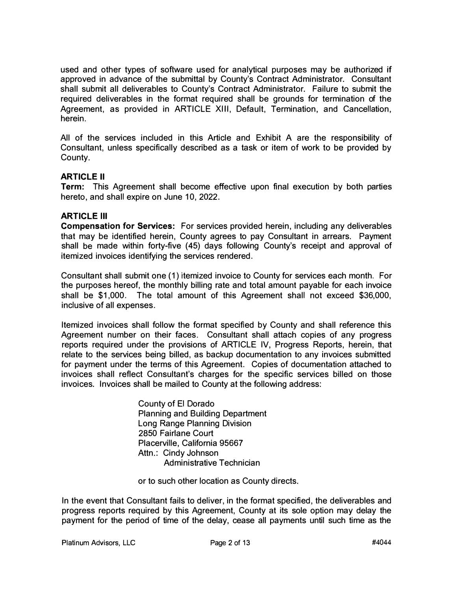used and other types of software used for analytical purposes may be authorized if approved in advance of the submittal by County's Contract Administrator. Consultant shall submit all deliverables to County's Contract Administrator. Failure to submit the required deliverables in the format required shall be grounds for termination of the Agreement, as provided in ARTICLE XIII, Default, Termination, and Cancellation, herein.

All of the services included in this Article and Exhibit A are the responsibility of Consultant, unless specifically described as a task or item of work to be provided by County.

# **ARTICLE II**

**Term:** This Agreement shall become effective upon final execution by both parties hereto, and shall expire on June 10, 2022.

# **ARTICLE Ill**

**Compensation for Services:** For services provided herein, including any deliverables that may be identified herein, County agrees to pay Consultant in arrears. Payment shall be made within forty-five (45) days following County's receipt and approval of itemized invoices identifying the services rendered.

Consultant shall submit one ( 1) itemized invoice to County for services each month. For the purposes hereof, the monthly billing rate and total amount payable for each invoice shall be \$1,000. The total amount of this Agreement shall not exceed \$36,000, inclusive of all expenses.

Itemized invoices shall follow the format specified by County and shall reference this Agreement number on their faces. Consultant shall attach copies of any progress reports required under the provisions of ARTICLE IV, Progress Reports, herein, that relate to the services being billed, as backup documentation to any invoices submitted for payment under the terms of this Agreement. Copies of documentation attached to invoices shall reflect Consultant's charges for the specific services billed on those invoices. Invoices shall be mailed to County at the following address:

> County of El Dorado Planning and Building Department Long Range Planning Division 2850 Fairlane Court Placerville, California 95667 Attn.: Cindy Johnson Administrative Technician

or to such other location as County directs.

In the event that Consultant fails to deliver, in the format specified, the deliverables and progress reports required by this Agreement, County at its sole option may delay the payment for the period of time of the delay, cease all payments until such time as the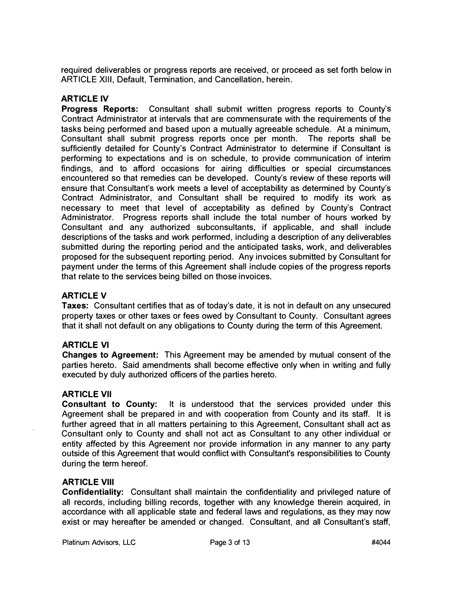required deliverables or progress reports are received, or proceed as set forth below in ARTICLE **XIII,** Default, Termination, and Cancellation, herein.

# **ARTICLE IV**

**Progress Reports:** Consultant shall submit written progress reports to County's Contract Administrator at intervals that are commensurate with the requirements of the tasks being performed and based upon a mutually agreeable schedule. At a minimum, Consultant shall submit progress reports once per month. The reports shall be sufficiently detailed for County's Contract Administrator to determine if Consultant is performing to expectations and is on schedule, to provide communication of interim findings, and to afford occasions for airing difficulties or special circumstances encountered so that remedies can be developed. County's review of these reports will ensure that Consultant's work meets a level of acceptability as determined by County's Contract Administrator, and Consultant shall be required to modify its work as necessary to meet that level of acceptability as defined by County's Contract Administrator. Progress reports shall include the total number of hours worked by Consultant and any authorized subconsultants, if applicable, and shall include descriptions of the tasks and work performed, including a description of any deliverables submitted during the reporting period and the anticipated tasks, work, and deliverables proposed for the subsequent reporting period. Any invoices submitted by Consultant for payment under the terms of this Agreement shall include copies of the progress reports that relate to the services being billed on those invoices.

# **ARTICLEV**

**Taxes:** Consultant certifies that as of today's date, it is not in default on any unsecured property taxes or other taxes or fees owed by Consultant to County. Consultant agrees that it shall not default on any obligations to County during the term of this Agreement.

# **ARTICLE VI**

**Changes to Agreement:** This Agreement may be amended by mutual consent of the parties hereto. Said amendments shall become effective only when in writing and fully executed by duly authorized officers of the parties hereto.

# **ARTICLE VII**

**Consultant to County:** It is understood that the services provided under this Agreement shall be prepared in and with cooperation from County and its staff. It is further agreed that in all matters pertaining to this Agreement, Consultant shall act as Consultant only to County and shall not act as Consultant to any other individual or entity affected by this Agreement nor provide information in any manner to any party outside of this Agreement that would conflict with Consultant's responsibilities to County during the term hereof.

#### **ARTICLE VIII**

**Confidentiality:** Consultant shall maintain the confidentiality and privileged nature of all records, including billing records, together with any knowledge therein acquired, in accordance with all applicable state and federal laws and regulations, as they may now exist or may hereafter be amended or changed. Consultant, and all Consultant's staff,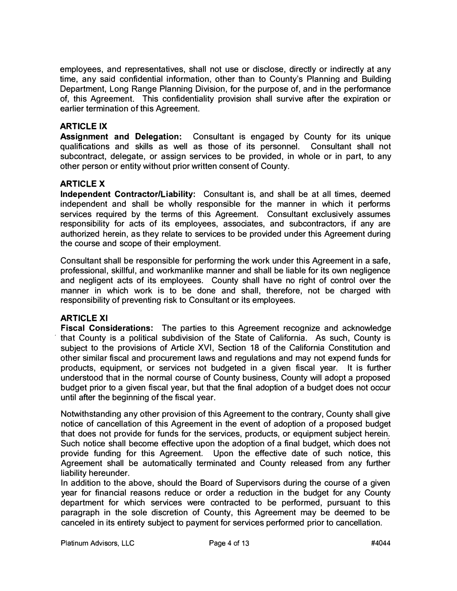employees, and representatives, shall not use or disclose, directly or indirectly at any time, any said confidential information, other than to County's Planning and Building Department, Long Range Planning Division, for the purpose of, and in the performance of, this Agreement. This confidentiality provision shall survive after the expiration or earlier termination of this Agreement.

# **ARTICLE IX**

**Assignment and Delegation:** Consultant is engaged by County for its unique qualifications and skills as well as those of its personnel. Consultant shall not subcontract, delegate, or assign services to be provided, in whole or in part, to any other person or entity without prior written consent of County.

# **ARTICLE X**

**Independent Contractor/Liability:** Consultant is, and shall be at all times, deemed independent and shall be wholly responsible for the manner in which it performs services required by the terms of this Agreement. Consultant exclusively assumes responsibility for acts of its employees, associates, and subcontractors, if any are authorized herein, as they relate to services to be provided under this Agreement during the course and scope of their employment.

Consultant shall be responsible for performing the work under this Agreement in a safe, professional, skillful, and workmanlike manner and shall be liable for its own negligence and negligent acts of its employees. County shall have no right of control over the manner in which work is to be done and shall, therefore, not be charged with responsibility of preventing risk to Consultant or its employees.

#### **ARTICLE XI**

**Fiscal Considerations:** The parties to this Agreement recognize and acknowledge that County is a political subdivision of the State of California. As such, County is subject to the provisions of Article XVI, Section 18 of the California Constitution and other similar fiscal and procurement laws and regulations and may not expend funds for products, equipment, or services not budgeted in a given fiscal year. It is further understood that in the normal course of County business, County will adopt a proposed budget prior to a given fiscal year, but that the final adoption of a budget does not occur until after the beginning of the fiscal year.

Notwithstanding any other provision of this Agreement to the contrary, County shall give notice of cancellation of this Agreement in the event of adoption of a proposed budget that does not provide for funds for the services, products, or equipment subject herein. Such notice shall become effective upon the adoption of a final budget, which does not provide funding for this Agreement. Upon the effective date of such notice, this Agreement shall be automatically terminated and County released from any further liability hereunder.

In addition to the above, should the Board of Supervisors during the course of a given year for financial reasons reduce or order a reduction in the budget for any County department for which services were contracted to be performed, pursuant to this paragraph in the sole discretion of County, this Agreement may be deemed to be canceled in its entirety subject to payment for services performed prior to cancellation.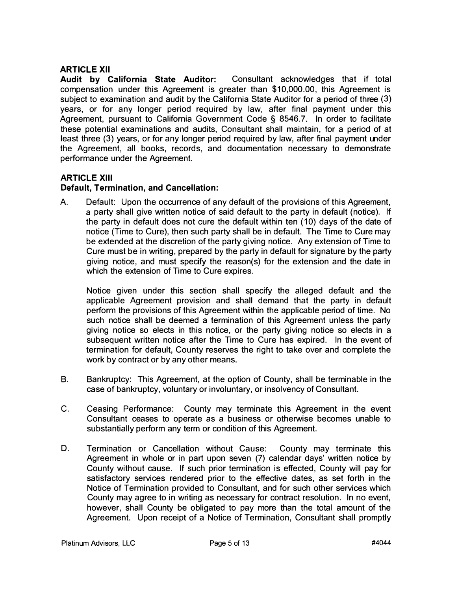**ARTICLE XII**<br>Audit by California State Auditor: **Consultant acknowledges that if total** compensation under this Agreement is greater than \$10,000.00, this Agreement is subject to examination and audit by the California State Auditor for a period of three (3) years, or for any longer period required by law, after final payment under this Agreement, pursuant to California Government Code § 8546.7. In order to facilitate these potential examinations and audits, Consultant shall maintain, for a period of at least three (3) years, or for any longer period required by law, after final payment under the Agreement, all books, records, and documentation necessary to demonstrate performance under the Agreement.

#### **ARTICLE XIII**

# **Default, Termination, and Cancellation:**

A. Default: Upon the occurrence of any default of the provisions of this Agreement, a party shall give written notice of said default to the party in default (notice). If the party in default does not cure the default within ten (10) days of the date of notice (Time to Cure), then such party shall be in default. The Time to Cure may be extended at the discretion of the party giving notice. Any extension of Time to Cure must be in writing, prepared by the party in default for signature by the party giving notice, and must specify the reason(s) for the extension and the date in which the extension of Time to Cure expires.

Notice given under this section shall specify the alleged default and the applicable Agreement provision and shall demand that the party in default perform the provisions of this Agreement within the applicable period of time. No such notice shall be deemed a termination of this Agreement unless the party giving notice so elects in this notice, or the party giving notice so elects in a subsequent written notice after the Time to Cure has expired. In the event of termination for default, County reserves the right to take over and complete the work by contract or by any other means.

- B. Bankruptcy: This Agreement, at the option of County, shall be terminable in the case of bankruptcy, voluntary or involuntary, or insolvency of Consultant.
- C. Ceasing Performance: County may . terminate this Agreement in the event Consultant ceases to operate as a business or otherwise becomes unable to substantially perform any term or condition of this Agreement.
- D. Termination or Cancellation without Cause: County may terminate this Agreement in whole or in part upon seven (7) calendar days' written notice by County without cause. If such prior termination is effected, County will pay for satisfactory services rendered prior to the effective dates, as set forth in the Notice of Termination provided to Consultant, and for such other services which County may agree to in writing as necessary for contract resolution. In no event, however, shall County be obligated to pay more than the total amount of the Agreement. Upon receipt of a Notice of Termination, Consultant shall promptly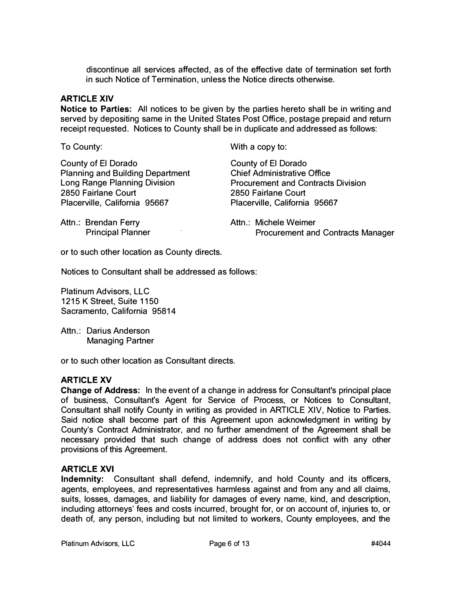discontinue all services affected, as of the effective date of termination set forth in such Notice of Termination, unless the Notice directs otherwise.

# **ARTICLE XIV**

**Notice to Parties:** All notices to be given by the parties hereto shall be in writing and served by depositing same in the United States Post Office, postage prepaid and return receipt requested. Notices to County shall be in duplicate and addressed as follows:

To County:

County of El Dorado Planning and Building Department Long Range Planning Division 2850 Fairlane Court Placerville, California 95667

With a copy to:

County of El Dorado Chief Administrative Office Procurement and Contracts Division 2850 Fairlane Court Placerville, California 95667

Attn.: Brendan Ferry<br>Principal Planner Attn.: Michele Weimer Procurement and Contracts Manager

or to such other location as County directs.

Notices to Consultant shall be addressed as follows:

Platinum Advisors, LLC 1215 K Street, Suite 1150 Sacramento, California 95814

Attn.: Darius Anderson Managing Partner

or to such other location as Consultant directs.

#### **ARTICLE XV**

**Change of Address:** In the event of a change in address for Consultant's principal place of business, Consultant's Agent for Service of Process, or Notices to Consultant, Consultant shall notify County in writing as provided in ARTICLE XIV, Notice to Parties. Said notice shall become part of this Agreement upon acknowledgment in writing by County's Contract Administrator, and no further amendment of the Agreement shall be necessary provided that such change of address does not conflict with any other provisions of this Agreement.

#### **ARTICLE XVI**

**Indemnity:** Consultant shall defend, indemnify, and hold County and its officers, agents, employees, and representatives harmless against and from any and all claims, suits, losses, damages, and liability for damages of every name, kind, and description, including attorneys' fees and costs incurred, brought for, or on account of, injuries to, or death of, any person, including but not limited to workers, County employees, and the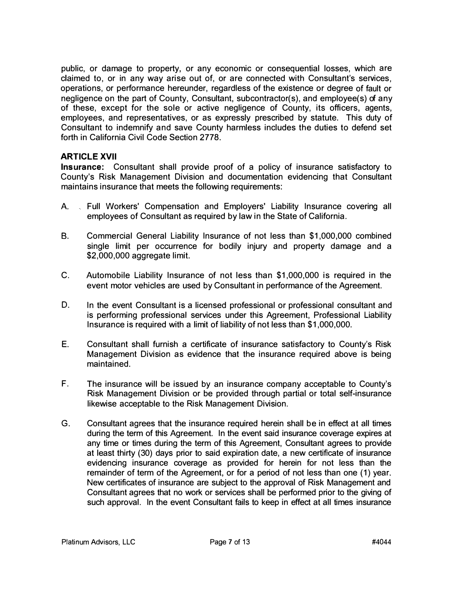public, or damage to property, or any economic or consequential losses, which are claimed to, or in any way arise out of, or are connected with Consultant's services, operations, or performance hereunder, regardless of the existence or degree of fault or negligence on the part of County, Consultant, subcontractor(s), and employee(s) of any of these, except for the sole or active negligence of County, its officers, agents, employees, and representatives, or as expressly prescribed by statute. This duty of Consultant to indemnify and save County harmless includes the duties to defend set forth in California Civil Code Section 2778.

# **ARTICLE XVII**

**Insurance:** Consultant shall provide proof of a policy of insurance satisfactory to County's Risk Management Division and documentation evidencing that Consultant maintains insurance that meets the following requirements:

- A. Full Workers' Compensation and Employers' Liability Insurance covering all employees of Consultant as required by law in the State of California.
- B. Commercial General Liability Insurance of not less than \$1,000,000 combined single limit per occurrence for bodily injury and property damage and a \$2,000,000 aggregate limit.
- C. Automobile Liability Insurance of not less than \$1,000,000 is required in the event motor vehicles are used by Consultant in performance of the Agreement.
- D. In the event Consultant is a licensed professional or professional consultant and is performing professional services under this Agreement, Professional Liability Insurance is required with a limit of liability of not less than \$1,000,000.
- E. Consultant shall furnish a certificate of insurance satisfactory to County's Risk Management Division as evidence that the insurance required above is being maintained.
- F. The insurance will be issued by an insurance company acceptable to County's Risk Management Division or be provided through partial or total self-insurance likewise acceptable to the Risk Management Division.
- G. Consultant agrees that the insurance required herein shall be in effect at all times during the term of this Agreement. In the event said insurance coverage expires at any time or times during the term of this Agreement, Consultant agrees to provide at least thirty (30) days prior to said expiration date, a new certificate of insurance evidencing insurance coverage as provided for herein for not less than the remainder of term of the Agreement, or for a period of not less than one ( 1) year. New certificates of insurance are subject to the approval of Risk Management and Consultant agrees that no work or services shall be performed prior to the giving of such approval. In the event Consultant fails to keep in effect at all times insurance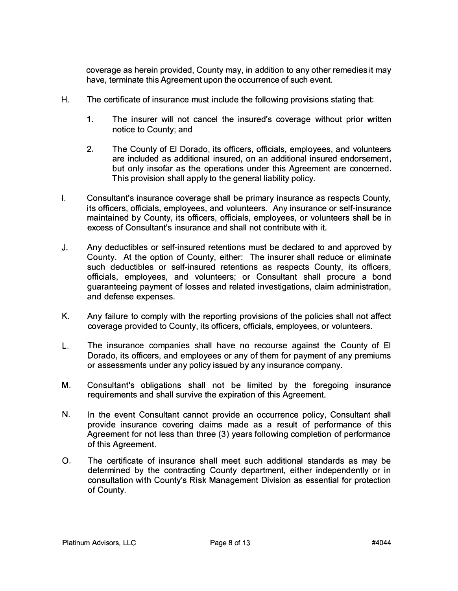coverage as herein provided, County may, in addition to any other remedies it may have, terminate this Agreement upon the occurrence of such event.

- H. The certificate of insurance must include the following provisions stating that:
	- 1. The insurer will not cancel the insured's coverage without prior written notice to County; and
	- 2. The County of El Dorado, its officers, officials, employees, and volunteers are included as additional insured, on an additional insured endorsement, but only insofar as the operations under this Agreement are concerned. This provision shall apply to the general liability policy.
- I. Consultant's insurance coverage shall be primary insurance as respects County, its officers, officials, employees, and volunteers. Any insurance or self-insurance maintained by County, its officers, officials, employees, or volunteers shall be in excess of Consultant's insurance and shall not contribute with it.
- J. Any deductibles or self-insured retentions must be declared to and approved by County. At the option of County, either: The insurer shall reduce or eliminate such deductibles or self-insured retentions as respects County, its officers, officials, employees, and volunteers; or Consultant shall procure a bond guaranteeing payment of losses and related investigations, claim administration, and defense expenses.
- K. Any failure to comply with the reporting provisions of the policies shall not affect coverage provided to County, its officers, officials, employees, or volunteers.
- L. The insurance companies shall have no recourse against the County of El Dorado, its officers, and employees or any of them for payment of any premiums or assessments under any policy issued by any insurance company.
- M. Consultant's obligations shall not be limited by the foregoing insurance requirements and shall survive the expiration of this Agreement.
- N. In the event Consultant cannot provide an occurrence policy, Consultant shall provide insurance covering claims made as a result of performance of this Agreement for not less than three (3) years following completion of performance of this Agreement.
- 0. The certificate of insurance shall meet such additional standards as may be determined by the contracting County department, either independently or in consultation with County's Risk Management Division as essential for protection of County.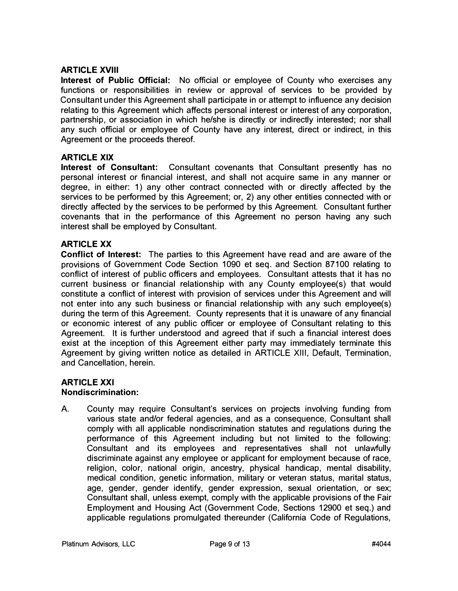#### **ARTICLE XVIII**

**Interest of Public Official:** No official or employee of County who exercises any functions or responsibilities in review or approval of services to be provided by Consultant under this Agreement shall participate in or attempt to influence any decision relating to this Agreement which affects personal interest or interest of any corporation, partnership, or association in which he/she is directly or indirectly interested; nor shall any such official or employee of County have any interest, direct or indirect, in this Agreement or the proceeds thereof.

# **ARTICLE XIX**

**Interest of Consultant:** Consultant covenants that Consultant presently has no personal interest or financial interest, and shall not acquire same in any manner or degree, in either: 1) any other contract connected with or directly affected by the services to be performed by this Agreement; or, 2) any other entities connected with or directly affected by the services to be performed by this Agreement. Consultant further covenants that in the performance of this Agreement no person having any such interest shall be employed by Consultant.

# **ARTICLE XX**

**Conflict of Interest:** The parties to this Agreement have read and are aware of the provisions of Government Code Section 1090 et seq. and Section 87100 relating to conflict of interest of public officers and employees. Consultant attests that it has no current business or financial relationship with any County employee(s) that would constitute a conflict of interest with provision of services under this Agreement and will not enter into any such business or financial relationship with any such employee(s) during the term of this Agreement. County represents that it is unaware of any financial or economic interest of any public officer or employee of Consultant relating to this Agreement. It is further understood and agreed that if such a financial interest does exist at the inception of this Agreement either party may immediately terminate this Agreement by giving written notice as detailed in ARTICLE XIII, Default, Termination, and Cancellation, herein.

# **ARTICLEXXI**

#### **Nondiscrimination:**

A. County may require Consultant's services on projects involving funding from various state and/or federal agencies, and as a consequence, Consultant shall comply with all applicable nondiscrimination statutes and regulations during the performance of this Agreement including but not limited to the following: Consultant and its employees and representatives shall not unlawfully discriminate against any employee or applicant for employment because of race, religion, color, national origin, ancestry, physical handicap, mental disability, medical condition, genetic information, military or veteran status, marital status, age, gender, gender identify, gender expression, sexual orientation, or sex; Consultant shall, unless exempt, comply with the applicable provisions of the Fair Employment and Housing Act (Government Code, Sections 12900 et seq.) and applicable regulations promulgated thereunder (California Code of Regulations,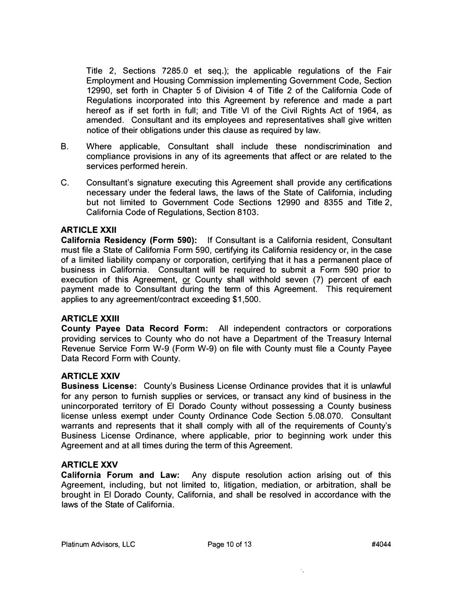Title 2, Sections 7285.0 et seq.); the applicable regulations of the Fair Employment and Housing Commission implementing Government Code, Section 12990, set forth in Chapter 5 of Division 4 of Title 2 of the California Code of Regulations incorporated into this Agreement by reference and made a part hereof as if set forth in full; and Title VI of the Civil Rights Act of 1964, as amended. Consultant and its employees and representatives shall give written notice of their obligations under this clause as required by law.

- B. Where applicable, Consultant shall include these nondiscrimination and compliance provisions in any of its agreements that affect or are related to the services performed herein.
- C. Consultant's signature executing this Agreement shall provide any certifications necessary under the federal laws, the laws of the State of California, including but not limited to Government Code Sections 12990 and 8355 and Title 2, California Code of Regulations, Section 8103.

#### **ARTICLE XXII**

**California Residency (Form 590):** If Consultant is a California resident, Consultant must file a State of California Form 590, certifying its California residency or, in the case of a limited liability company or corporation, certifying that it has a permanent place of business in California. Consultant will be required to submit a Form 590 prior to execution of this Agreement, or County shall withhold seven (7) percent of each payment made to Consultant during the term of this Agreement. This requirement applies to any agreement/contract exceeding \$1,500.

#### **ARTICLE XXIII**

**County Payee Data Record Form:** All independent contractors or corporations providing services to County who do not have a Department of the Treasury Internal Revenue Service Form W-9 (Form W-9) on file with County must file a County Payee Data Record Form with County.

#### **ARTICLE XXIV**

**Business License:** County's Business License Ordinance provides that it is unlawful for any person to furnish supplies or services, or transact any kind of business in the unincorporated territory of El Dorado County without possessing a County business license unless exempt under County Ordinance Code Section 5.08.070. Consultant warrants and represents that it shall comply with all of the requirements of County's Business License Ordinance, where applicable, prior to beginning work under this Agreement and at all times during the term of this Agreement.

#### **ARTICLEXXV**

**California Forum and Law:** Any dispute resolution action arising out of this Agreement, including, but not limited to, litigation, mediation, or arbitration, shall be brought in El Dorado County, California, and shall be resolved in accordance with the laws of the State of California.

 $\mathcal{F}_{\mathbf{X}}$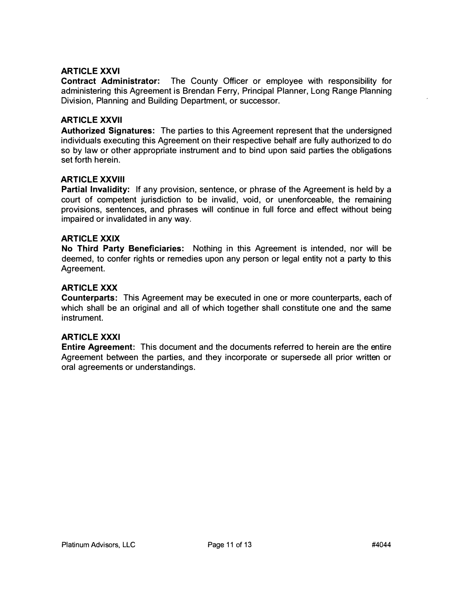#### **ARTICLE XXVI**

**Contract Administrator:** The County Officer or employee with responsibility for administering this Agreement is Brendan Ferry, Principal Planner, Long Range Planning Division, Planning and Building Department, or successor.

#### **ARTICLE XXVII**

**Authorized Signatures:** The parties to this Agreement represent that the undersigned individuals executing this Agreement on their respective behalf are fully authorized to do so by law or other appropriate instrument and to bind upon said parties the obligations set forth herein.

#### **ARTICLE XXVIII**

**Partial Invalidity:** If any provision, sentence, or phrase of the Agreement is held by a court of competent jurisdiction to be invalid, void, or unenforceable, the remaining provisions, sentences, and phrases will continue in full force and effect without being impaired or invalidated in any way.

#### **ARTICLE XXIX**

**No Third Party Beneficiaries:** Nothing in this Agreement is intended, nor will be deemed, to confer rights or remedies upon any person or legal entity not a party to this Agreement.

#### **ARTICLE XXX**

**Counterparts:** This Agreement may be executed in one or more counterparts, each of which shall be an original and all of which together shall constitute one and the same instrument.

#### **ARTICLE XXXI**

**Entire Agreement:** This document and the documents referred to herein are the entire Agreement between the parties, and they incorporate or supersede all prior written or oral agreements or understandings.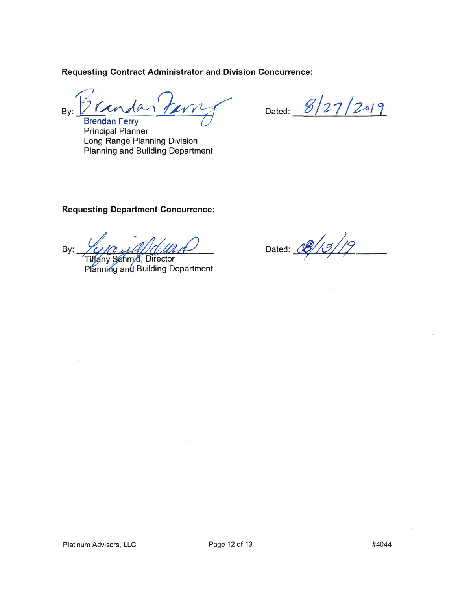**Requesting Contract Administrator and Division Concurrence:** 

Tendar **By:� Brendan Ferry** ?**�**

Dated:  $8/27/2019$ 

Principal Planner Long Range Planning Division Planning and Building Department

# **Requesting Department Concurrence:**

By: **Tiffany Schmid, Director** 

Planning and Building Department

Dated: 08/15/19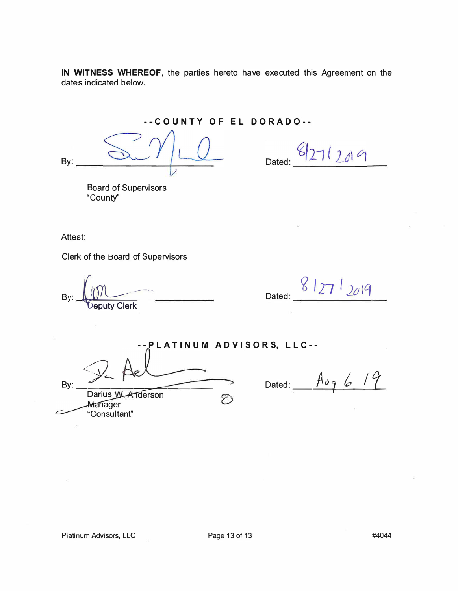**IN WITNESS WHEREOF,** the parties hereto have executed this Agreement on the dates indicated below.

**--COUNTY OF EL DORADO--**

By:

Dated: 8/27/2019

Board of Supervisors "County"

Attest:

Clerk of the Board of Supervisors

**By:**  $\underbrace{\hspace{1cm}}_{\text{Deputy Clerk}}$  Dated:  $\underbrace{\hspace{1cm}}_{\text{Dated:}}$   $\underbrace{\hspace{1cm}}_{\text{Ceputy Clerk}}$ 

**-- P L A T I N U M A D V I S O R S, L L C --** By: P. Ael Darius W. Anderson  $\overline{\mathcal{O}}$ Manager

 $Dated:$   $A \circ q$  *6 19* 

Platinum Advisors, LLC Page 13 of 13 #4044

"Consultant"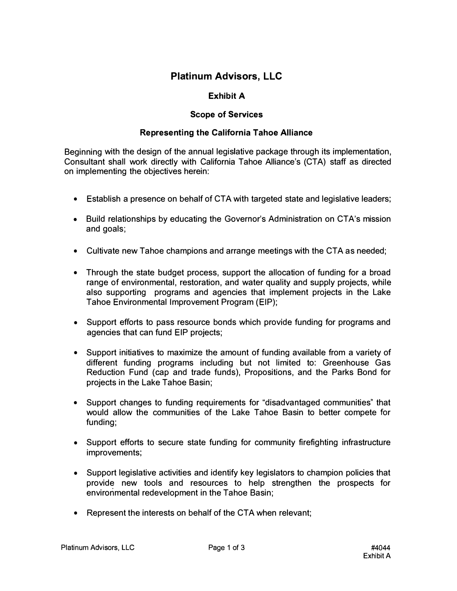# **Platinum Advisors, LLC**

# **Exhibit A**

# **Scope of Services**

#### **Representing the California Tahoe Alliance**

Beginning with the design of the annual legislative package through its implementation, Consultant shall work directly with California Tahoe Alliance's (CTA) staff as directed on implementing the objectives herein:

- Establish a presence on behalf of CTA with targeted state and legislative leaders;
- Build relationships by educating the Governor's Administration on CTA's mission and goals;
- Cultivate new Tahoe champions and arrange meetings with the CTA as needed;
- Through the state budget process, support the allocation of funding for a broad range of environmental, restoration, and water quality and supply projects, while also supporting programs and agencies that implement projects in the Lake Tahoe Environmental Improvement Program (EIP);
- Support efforts to pass resource bonds which provide funding for programs and agencies that can fund EIP projects;
- Support initiatives to maximize the amount of funding available from a variety of different funding programs including but not limited to: Greenhouse Gas Reduction Fund (cap and trade funds), Propositions, and the Parks Bond for projects in the Lake Tahoe Basin;
- Support changes to funding requirements for "disadvantaged communities" that would allow the communities of the Lake Tahoe Basin to better compete for funding;
- Support efforts to secure state funding for community firefighting infrastructure improvements;
- Support legislative activities and identify key legislators to champion policies that provide new tools and resources to help strengthen the prospects for environmental redevelopment in the Tahoe Basin;
- Represent the interests on behalf of the CTA when relevant;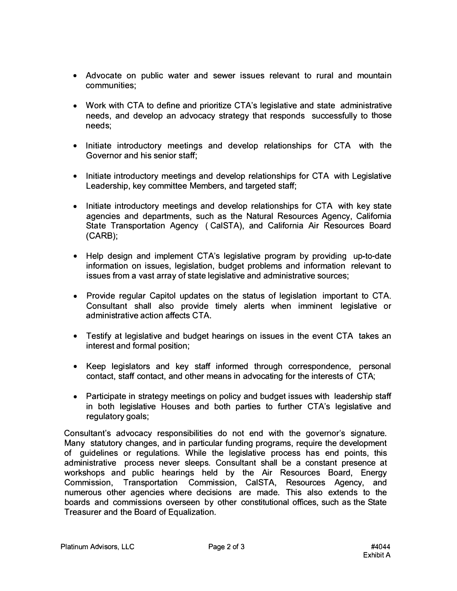- Advocate on public water and sewer issues relevant to rural and mountain communities;
- Work with CTA to define and prioritize CTA's legislative and state administrative needs, and develop an advocacy strategy that responds successfully to those needs;
- Initiate introductory meetings and develop relationships for CTA with the Governor and his senior staff;
- Initiate introductory meetings and develop relationships for CTA with Legislative Leadership, key committee Members, and targeted staff;
- Initiate introductory meetings and develop relationships for CTA with key state agencies and departments, such as the Natural Resources Agency, California State Transportation Agency ( CalSTA), and California Air Resources Board (GARB);
- Help design and implement CTA's legislative program by providing up-to-date information on issues, legislation, budget problems and information relevant to issues from a vast array of state legislative and administrative sources;
- Provide regular Capitol updates on the status of legislation important to CTA. Consultant shall also provide timely alerts when imminent legislative or administrative action affects CTA.
- Testify at legislative and budget hearings on issues in the event CTA takes an interest and formal position;
- Keep legislators and key staff informed through correspondence, personal contact, staff contact, and other means in advocating for the interests of CTA;
- Participate in strategy meetings on policy and budget issues with leadership staff in both legislative Houses and both parties to further CTA's legislative and regulatory goals;

Consultant's advocacy responsibilities do not end with the governor's signature. Many statutory changes, and in particular funding programs, require the development of guidelines or regulations. While the legislative process has end points, this administrative process never sleeps. Consultant shall be a constant presence at workshops and public hearings held by the Air Resources Board, Energy Commission, Transportation Commission, CalSTA, Resources Agency, and numerous other agencies where decisions are made. This also extends to the boards and commissions overseen by other constitutional offices, such as the State Treasurer and the Board of Equalization.